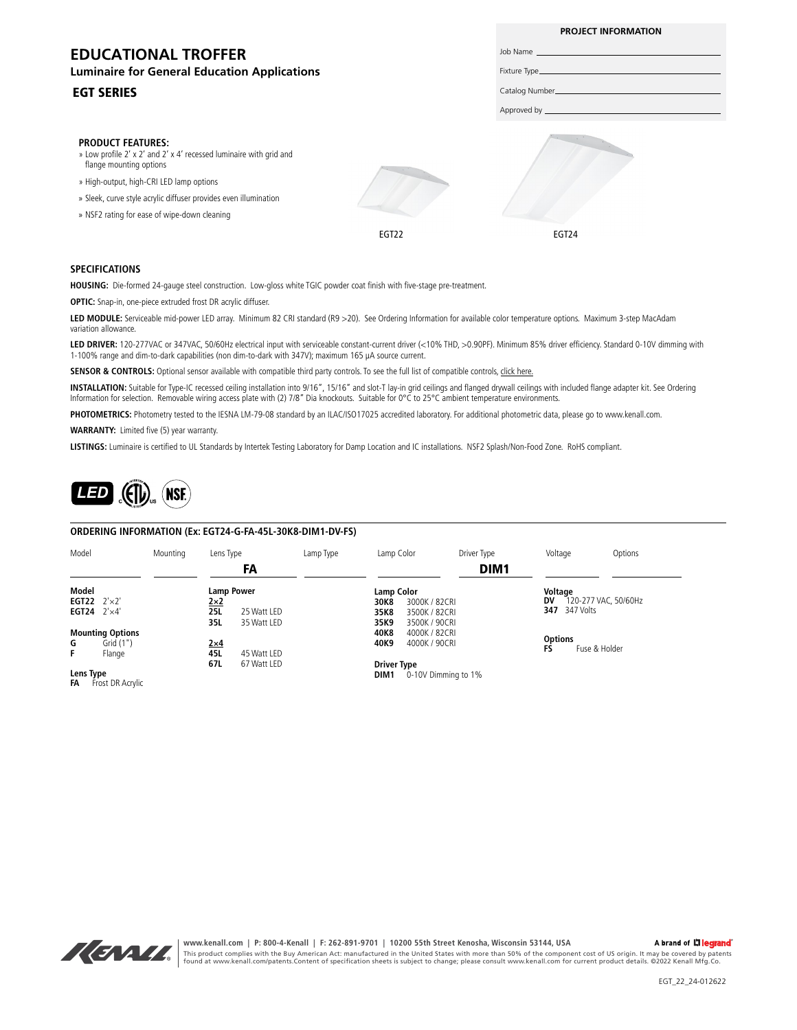# **EDUCATIONAL TROFFER**

#### **Luminaire for General Education Applications**

#### EGT SERIES

#### **PRODUCT FEATURES:**

- » Low profile 2' x 2' and 2' x 4' recessed luminaire with grid and flange mounting options
- » High-output, high-CRI LED lamp options
- » Sleek, curve style acrylic diffuser provides even illumination
- » NSF2 rating for ease of wipe-down cleaning





Job Name Fixture Type Catalog Number Approved by

**PROJECT INFORMATION**

#### **SPECIFICATIONS**

**HOUSING:** Die-formed 24-gauge steel construction. Low-gloss white TGIC powder coat finish with five-stage pre-treatment.

**OPTIC:** Snap-in, one-piece extruded frost DR acrylic diffuser.

**LED MODULE:** Serviceable mid-power LED array. Minimum 82 CRI standard (R9 >20). See Ordering Information for available color temperature options. Maximum 3-step MacAdam variation allowance.

LED DRIVER: 120-277VAC or 347VAC, 50/60Hz electrical input with serviceable constant-current driver (<10% THD, >0.90PF). Minimum 85% driver efficiency. Standard 0-10V dimming with 1-100% range and dim-to-dark capabilities (non dim-to-dark with 347V); maximum 165 µA source current.

**SENSOR & CONTROLS:** Optional sensor available with compatible third party controls. To see the full list of compatible controls, [click here.](https://kenall.com/Third-Party-Controls)

**INSTALLATION:** Suitable for Type-IC recessed ceiling installation into 9/16", 15/16" and slot-T lay-in grid ceilings and flanged drywall ceilings with included flange adapter kit. See Ordering Information for selection. Removable wiring access plate with (2) 7/8" Dia knockouts. Suitable for 0°C to 25°C ambient temperature environments.

PHOTOMETRICS: Photometry tested to the IESNA LM-79-08 standard by an ILAC/ISO17025 accredited laboratory. For additional photometric data, please go to www.kenall.com.

**WARRANTY:** Limited five (5) year warranty.

**LISTINGS:** Luminaire is certified to UL Standards by Intertek Testing Laboratory for Damp Location and IC installations. NSF2 Splash/Non-Food Zone. RoHS compliant.



#### **ORDERING INFORMATION (Ex: EGT24-G-FA-45L-30K8-DIM1-DV-FS)**

| Model                               |                             | Mounting | Lens Type         |             | Lamp Type           | Lamp Color         |               | Driver Type      | Voltage        |                      | Options |
|-------------------------------------|-----------------------------|----------|-------------------|-------------|---------------------|--------------------|---------------|------------------|----------------|----------------------|---------|
|                                     |                             |          |                   | FA          |                     |                    |               | DIM <sub>1</sub> |                |                      |         |
| Model                               |                             |          | <b>Lamp Power</b> |             |                     | <b>Lamp Color</b>  |               | Voltage          |                |                      |         |
|                                     | <b>EGT22</b> $2' \times 2'$ |          | $2\times2$        |             |                     | 30K8               | 3000K / 82CRI |                  | DV             | 120-277 VAC, 50/60Hz |         |
|                                     | EGT24 $2' \times 4'$        |          | <b>25L</b>        | 25 Watt LED |                     | 35K8               | 3500K / 82CRI |                  |                | <b>347</b> 347 Volts |         |
|                                     |                             |          | 35L               | 35 Watt LED |                     | 35K9               | 3500K / 90CRI |                  |                |                      |         |
|                                     | <b>Mounting Options</b>     |          |                   |             |                     | 40K8               | 4000K / 82CRI |                  |                |                      |         |
| G                                   | Grid (1")                   |          | $2\times4$        |             |                     | 40K9               | 4000K / 90CRI |                  | <b>Options</b> |                      |         |
| F.                                  | Flange                      |          | 45L               | 45 Watt LED |                     |                    |               |                  | FS             | Fuse & Holder        |         |
|                                     |                             |          | 67L               | 67 Watt LED |                     | <b>Driver Type</b> |               |                  |                |                      |         |
| Lens Type<br>FA<br>Frost DR Acrylic |                             |          |                   | DIM1        | 0-10V Dimming to 1% |                    |               |                  |                |                      |         |



**www.kenall.com | P: 800-4-Kenall | F: 262-891-9701 | 10200 55th Street Kenosha, Wisconsin 53144, USA**  A brand of Lilegrand This product complies with the Buy American Act: manufactured in the United States with more than 50% of the component cost of US origin. It may be covered by patents<br>found at www.kenall.com/patents.Content of specificatio